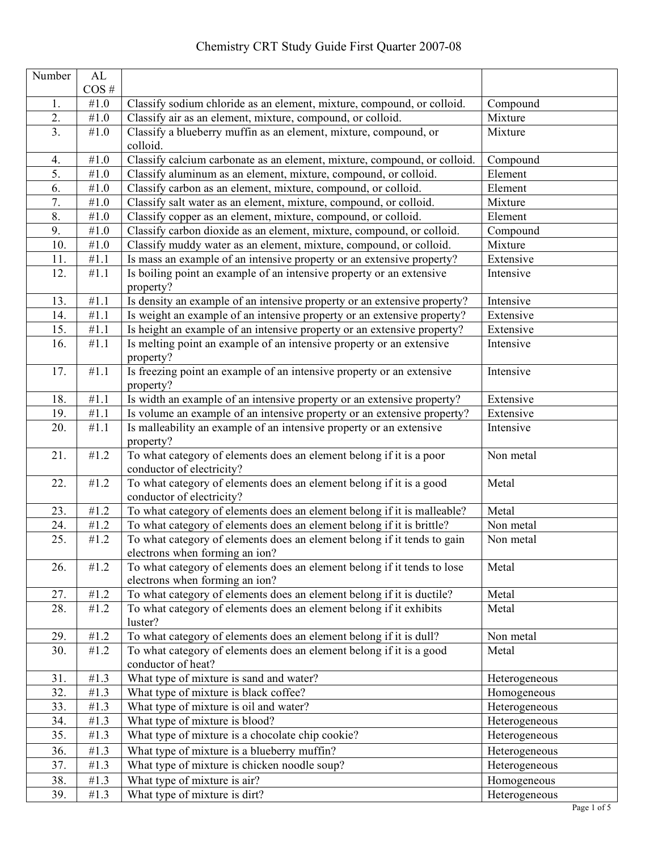| $\overline{\text{Number}}$ | AL                |                                                                                                           |               |
|----------------------------|-------------------|-----------------------------------------------------------------------------------------------------------|---------------|
|                            | $\cos$ #          |                                                                                                           |               |
| 1.                         | #1.0              | Classify sodium chloride as an element, mixture, compound, or colloid.                                    | Compound      |
| $\overline{2}$ .           | $\#1.0$           | Classify air as an element, mixture, compound, or colloid.                                                | Mixture       |
| 3 <sub>1</sub>             | #1.0              | Classify a blueberry muffin as an element, mixture, compound, or<br>colloid.                              | Mixture       |
| 4.                         | $\#1.0$           | Classify calcium carbonate as an element, mixture, compound, or colloid.                                  | Compound      |
| 5.                         | $\#1.0$           | Classify aluminum as an element, mixture, compound, or colloid.                                           | Element       |
| 6.                         | $\#1.0$           | Classify carbon as an element, mixture, compound, or colloid.                                             | Element       |
| 7.                         | $\#1.0$           | Classify salt water as an element, mixture, compound, or colloid.                                         | Mixture       |
| 8.                         | $\#1.0$           | Classify copper as an element, mixture, compound, or colloid.                                             | Element       |
| 9.                         | $\#1.0$           | Classify carbon dioxide as an element, mixture, compound, or colloid.                                     | Compound      |
| 10.                        | $\#1.0$           | Classify muddy water as an element, mixture, compound, or colloid.                                        | Mixture       |
| 11.                        | #1.1              | Is mass an example of an intensive property or an extensive property?                                     | Extensive     |
| 12.                        | #1.1              | Is boiling point an example of an intensive property or an extensive<br>property?                         | Intensive     |
| 13.                        | #1.1              | Is density an example of an intensive property or an extensive property?                                  | Intensive     |
| 14.                        | #1.1              | Is weight an example of an intensive property or an extensive property?                                   | Extensive     |
| 15.                        | $\overline{41}.1$ | Is height an example of an intensive property or an extensive property?                                   | Extensive     |
| 16.                        | #1.1              | Is melting point an example of an intensive property or an extensive<br>property?                         | Intensive     |
| 17.                        | #1.1              | Is freezing point an example of an intensive property or an extensive<br>property?                        | Intensive     |
| 18.                        | #1.1              | Is width an example of an intensive property or an extensive property?                                    | Extensive     |
| 19.                        | #1.1              | Is volume an example of an intensive property or an extensive property?                                   | Extensive     |
| 20.                        | $\overline{41.1}$ | Is malleability an example of an intensive property or an extensive<br>property?                          | Intensive     |
| 21.                        | #1.2              | To what category of elements does an element belong if it is a poor<br>conductor of electricity?          | Non metal     |
| 22.                        | #1.2              | To what category of elements does an element belong if it is a good<br>conductor of electricity?          | Metal         |
| 23.                        | #1.2              | To what category of elements does an element belong if it is malleable?                                   | Metal         |
| 24.                        | #1.2              | To what category of elements does an element belong if it is brittle?                                     | Non metal     |
| 25.                        | #1.2              | To what category of elements does an element belong if it tends to gain<br>electrons when forming an ion? | Non metal     |
| 26.                        | #1.2              | To what category of elements does an element belong if it tends to lose<br>electrons when forming an ion? | Metal         |
| 27.                        | $\overline{41.2}$ | To what category of elements does an element belong if it is ductile?                                     | Metal         |
| 28.                        | #1.2              | To what category of elements does an element belong if it exhibits<br>luster?                             | Metal         |
| 29.                        | #1.2              | To what category of elements does an element belong if it is dull?                                        | Non metal     |
| 30.                        | #1.2              | To what category of elements does an element belong if it is a good<br>conductor of heat?                 | Metal         |
| 31.                        | $\overline{4}1.3$ | What type of mixture is sand and water?                                                                   | Heterogeneous |
| 32.                        | #1.3              | What type of mixture is black coffee?                                                                     | Homogeneous   |
| 33.                        | #1.3              | What type of mixture is oil and water?                                                                    | Heterogeneous |
| 34.                        | #1.3              | What type of mixture is blood?                                                                            | Heterogeneous |
| 35.                        | #1.3              | What type of mixture is a chocolate chip cookie?                                                          | Heterogeneous |
| 36.                        | #1.3              | What type of mixture is a blueberry muffin?                                                               | Heterogeneous |
| 37.                        | #1.3              | What type of mixture is chicken noodle soup?                                                              | Heterogeneous |
| 38.                        | $\overline{41.3}$ | What type of mixture is air?                                                                              | Homogeneous   |
| 39.                        | #1.3              | What type of mixture is dirt?                                                                             | Heterogeneous |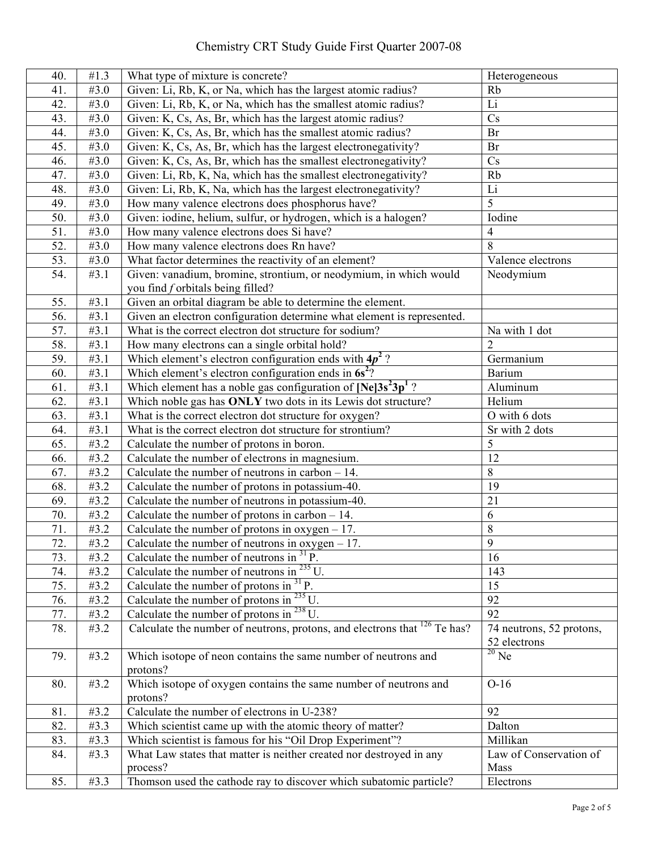## Chemistry CRT Study Guide First Quarter 2007-08

| 40. | #1.3              | What type of mixture is concrete?                                                    | Heterogeneous            |
|-----|-------------------|--------------------------------------------------------------------------------------|--------------------------|
| 41. | #3.0              | Given: Li, Rb, K, or Na, which has the largest atomic radius?                        | Rb                       |
| 42. | #3.0              | Given: Li, Rb, K, or Na, which has the smallest atomic radius?                       | Li                       |
| 43. | #3.0              | Given: K, Cs, As, Br, which has the largest atomic radius?                           | Cs                       |
| 44. | #3.0              | Given: K, Cs, As, Br, which has the smallest atomic radius?                          | Br                       |
| 45. | #3.0              | Given: K, Cs, As, Br, which has the largest electronegativity?                       | Br                       |
|     | #3.0              |                                                                                      | Cs                       |
| 46. | #3.0              | Given: K, Cs, As, Br, which has the smallest electronegativity?                      | Rb                       |
| 47. |                   | Given: Li, Rb, K, Na, which has the smallest electronegativity?                      |                          |
| 48. | #3.0              | Given: Li, Rb, K, Na, which has the largest electronegativity?                       | Li                       |
| 49. | #3.0              | How many valence electrons does phosphorus have?                                     | 5                        |
| 50. | #3.0              | Given: iodine, helium, sulfur, or hydrogen, which is a halogen?                      | Iodine                   |
| 51. | #3.0              | How many valence electrons does Si have?                                             | $\overline{4}$           |
| 52. | #3.0              | How many valence electrons does Rn have?                                             | 8                        |
| 53. | #3.0              | What factor determines the reactivity of an element?                                 | Valence electrons        |
| 54. | #3.1              | Given: vanadium, bromine, strontium, or neodymium, in which would                    | Neodymium                |
|     |                   | you find f orbitals being filled?                                                    |                          |
| 55. | #3.1              | Given an orbital diagram be able to determine the element.                           |                          |
| 56. | $\overline{43.1}$ | Given an electron configuration determine what element is represented.               |                          |
| 57. | #3.1              | What is the correct electron dot structure for sodium?                               | Na with 1 dot            |
| 58. | #3.1              | How many electrons can a single orbital hold?                                        | $\overline{2}$           |
| 59. | #3.1              | Which element's electron configuration ends with $4p^2$ ?                            | Germanium                |
| 60. | #3.1              | Which element's electron configuration ends in 6s <sup>2</sup> ?                     | Barium                   |
| 61. | $\overline{43.1}$ | Which element has a noble gas configuration of $[Ne]3s^23p^1$ ?                      | Aluminum                 |
| 62. | #3.1              | Which noble gas has ONLY two dots in its Lewis dot structure?                        | Helium                   |
| 63. | #3.1              | What is the correct electron dot structure for oxygen?                               | O with 6 dots            |
| 64. | #3.1              | What is the correct electron dot structure for strontium?                            | Sr with 2 dots           |
| 65. | #3.2              | Calculate the number of protons in boron.                                            | 5                        |
| 66. | #3.2              | Calculate the number of electrons in magnesium.                                      | 12                       |
| 67. | #3.2              | Calculate the number of neutrons in carbon $-14$ .                                   | 8                        |
| 68. | #3.2              | Calculate the number of protons in potassium-40.                                     | 19                       |
| 69. | #3.2              | Calculate the number of neutrons in potassium-40.                                    | 21                       |
| 70. | #3.2              | Calculate the number of protons in carbon $-14$ .                                    | 6                        |
| 71. | #3.2              | Calculate the number of protons in oxygen $-17$ .                                    | $\,$ $\,$                |
| 72. | #3.2              | Calculate the number of neutrons in oxygen $-17$ .                                   | 9                        |
| 73. | #3.2              | Calculate the number of neutrons in $31$ P.                                          | 16                       |
| 74. | #3.2              | Calculate the number of neutrons in $^{235}$ U.                                      | 143                      |
| 75. | #3.2              | Calculate the number of protons in $31$ P.                                           | 15                       |
| 76. | #3.2              | Calculate the number of protons in $^{235}$ U.                                       | 92                       |
| 77. | #3.2              | Calculate the number of protons in $^{238}$ U.                                       | $\overline{92}$          |
| 78. | #3.2              | Calculate the number of neutrons, protons, and electrons that <sup>126</sup> Te has? | 74 neutrons, 52 protons, |
|     |                   |                                                                                      | 52 electrons             |
| 79. | #3.2              | Which isotope of neon contains the same number of neutrons and                       | $^{20}$ Ne               |
|     |                   | protons?                                                                             |                          |
| 80. | #3.2              | Which isotope of oxygen contains the same number of neutrons and                     | $O-16$                   |
|     |                   | protons?                                                                             |                          |
| 81. | #3.2              | Calculate the number of electrons in U-238?                                          | 92                       |
| 82. | #3.3              | Which scientist came up with the atomic theory of matter?                            | Dalton                   |
| 83. | #3.3              | Which scientist is famous for his "Oil Drop Experiment"?                             | Millikan                 |
| 84. | #3.3              | What Law states that matter is neither created nor destroyed in any                  | Law of Conservation of   |
|     |                   | process?                                                                             | Mass                     |
| 85. | #3.3              | Thomson used the cathode ray to discover which subatomic particle?                   | Electrons                |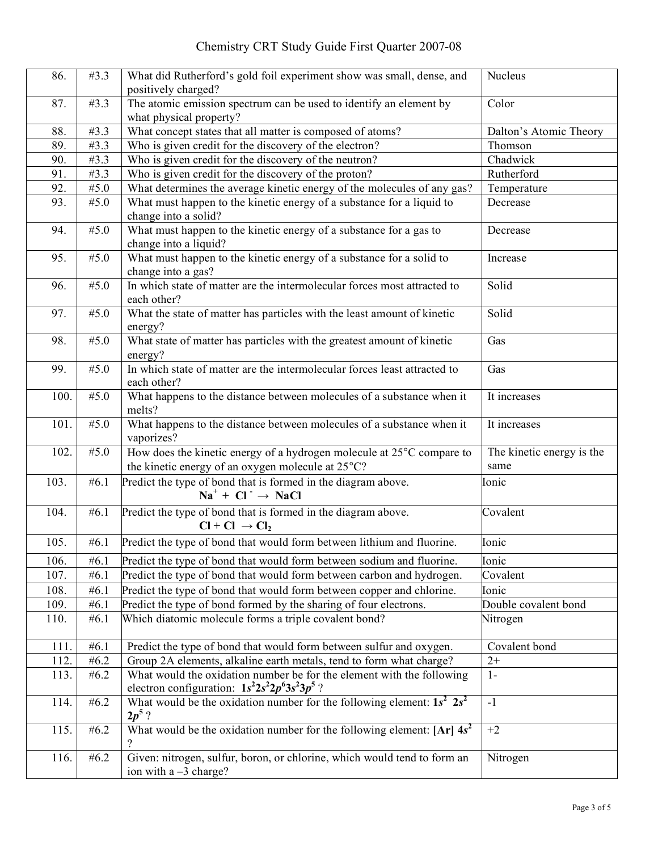| 86.  | #3.3              | What did Rutherford's gold foil experiment show was small, dense, and<br>positively charged?                              | Nucleus                   |
|------|-------------------|---------------------------------------------------------------------------------------------------------------------------|---------------------------|
| 87.  | #3.3              | The atomic emission spectrum can be used to identify an element by<br>what physical property?                             | Color                     |
| 88.  | #3.3              | What concept states that all matter is composed of atoms?                                                                 | Dalton's Atomic Theory    |
| 89.  | #3.3              | Who is given credit for the discovery of the electron?                                                                    | Thomson                   |
| 90.  | $\overline{43.3}$ | Who is given credit for the discovery of the neutron?                                                                     | Chadwick                  |
| 91.  | #3.3              | Who is given credit for the discovery of the proton?                                                                      | Rutherford                |
| 92.  | $\overline{45.0}$ | What determines the average kinetic energy of the molecules of any gas?                                                   | Temperature               |
| 93.  | #5.0              | What must happen to the kinetic energy of a substance for a liquid to                                                     | Decrease                  |
|      |                   | change into a solid?                                                                                                      |                           |
| 94.  | #5.0              | What must happen to the kinetic energy of a substance for a gas to                                                        | Decrease                  |
|      |                   | change into a liquid?                                                                                                     |                           |
| 95.  | #5.0              | What must happen to the kinetic energy of a substance for a solid to                                                      | Increase                  |
|      |                   | change into a gas?                                                                                                        |                           |
| 96.  | #5.0              | In which state of matter are the intermolecular forces most attracted to                                                  | Solid                     |
|      |                   | each other?                                                                                                               |                           |
| 97.  | #5.0              | What the state of matter has particles with the least amount of kinetic                                                   | Solid                     |
|      |                   | energy?                                                                                                                   |                           |
| 98.  | #5.0              | What state of matter has particles with the greatest amount of kinetic                                                    | Gas                       |
|      |                   | energy?                                                                                                                   |                           |
| 99.  | #5.0              | In which state of matter are the intermolecular forces least attracted to                                                 | Gas                       |
|      |                   | each other?                                                                                                               |                           |
| 100. | #5.0              | What happens to the distance between molecules of a substance when it                                                     | It increases              |
|      |                   | melts?                                                                                                                    |                           |
| 101. | #5.0              | What happens to the distance between molecules of a substance when it                                                     | It increases              |
|      |                   | vaporizes?                                                                                                                |                           |
| 102. | #5.0              | How does the kinetic energy of a hydrogen molecule at 25°C compare to                                                     | The kinetic energy is the |
|      |                   | the kinetic energy of an oxygen molecule at 25°C?                                                                         | same                      |
| 103. | #6.1              | Predict the type of bond that is formed in the diagram above.                                                             | Ionic                     |
|      |                   | $Na+ + Cl- \rightarrow NaCl$                                                                                              |                           |
| 104. | #6.1              | Predict the type of bond that is formed in the diagram above.                                                             | Covalent                  |
|      |                   | $Cl + Cl \rightarrow Cl_2$                                                                                                |                           |
| 105. | # $6.1$           | Predict the type of bond that would form between lithium and fluorine.                                                    | Ionic                     |
| 106. | #6.1              | Predict the type of bond that would form between sodium and fluorine.                                                     | Ionic                     |
| 107. | #6.1              | Predict the type of bond that would form between carbon and hydrogen.                                                     | Covalent                  |
| 108. | #6.1              | Predict the type of bond that would form between copper and chlorine.                                                     | Ionic                     |
| 109. | #6.1              | Predict the type of bond formed by the sharing of four electrons.                                                         | Double covalent bond      |
| 110. | #6.1              | Which diatomic molecule forms a triple covalent bond?                                                                     | Nitrogen                  |
|      |                   |                                                                                                                           |                           |
| 111. | #6.1              | Predict the type of bond that would form between sulfur and oxygen.                                                       | Covalent bond             |
| 112. | #6.2              | Group 2A elements, alkaline earth metals, tend to form what charge?                                                       | $2+$                      |
| 113. | #6.2              | What would the oxidation number be for the element with the following<br>electron configuration: $1s^22s^22p^63s^23p^5$ ? | $1-$                      |
| 114. | #6.2              | What would be the oxidation number for the following element: $1s^2 2s^2$<br>$2p^5$ ?                                     | $-1$                      |
| 115. | #6.2              | What would be the oxidation number for the following element: $[Ar]$ 4s <sup>2</sup>                                      | $+2$                      |
| 116. | #6.2              | Given: nitrogen, sulfur, boron, or chlorine, which would tend to form an                                                  | Nitrogen                  |
|      |                   | ion with $a - 3$ charge?                                                                                                  |                           |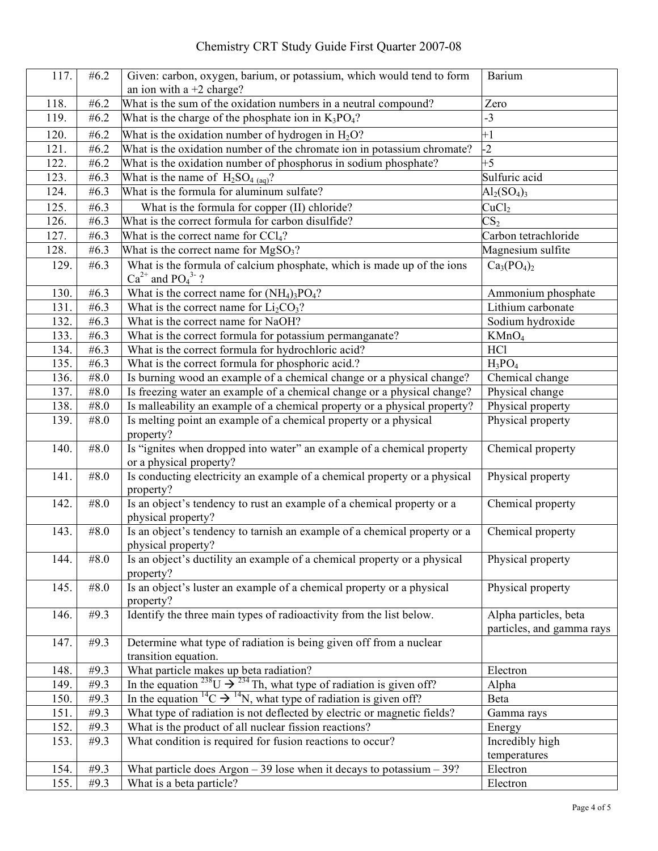## Chemistry CRT Study Guide First Quarter 2007-08

| 117. | #6.2              | Given: carbon, oxygen, barium, or potassium, which would tend to form                                  | Barium                                             |
|------|-------------------|--------------------------------------------------------------------------------------------------------|----------------------------------------------------|
|      |                   | an ion with $a + 2$ charge?                                                                            |                                                    |
| 118. | #6.2              | What is the sum of the oxidation numbers in a neutral compound?                                        | Zero                                               |
| 119. | #6.2              | What is the charge of the phosphate ion in $K_3PO_4$ ?                                                 | $-3$                                               |
| 120. | #6.2              | What is the oxidation number of hydrogen in $H_2O$ ?                                                   | $+1$                                               |
| 121. | #6.2              | What is the oxidation number of the chromate ion in potassium chromate?                                | $-2$                                               |
| 122. | #6.2              | What is the oxidation number of phosphorus in sodium phosphate?                                        | $+5$                                               |
| 123. | #6.3              | What is the name of $H_2SO_{4\ (aq)}$ ?                                                                | Sulfuric acid                                      |
| 124. | # $6.3$           | What is the formula for aluminum sulfate?                                                              | $\text{Al}_2(\text{SO}_4)_3$                       |
| 125. | # $6.3$           | What is the formula for copper (II) chloride?                                                          | CuCl <sub>2</sub>                                  |
| 126. | # $6.3$           | What is the correct formula for carbon disulfide?                                                      | $\overline{\text{CS}_2}$                           |
| 127. | # $6.3$           | What is the correct name for $CCl4$ ?                                                                  | Carbon tetrachloride                               |
| 128. | #6.3              | What is the correct name for $MgSO3$ ?                                                                 | Magnesium sulfite                                  |
| 129. | # $6.3$           | What is the formula of calcium phosphate, which is made up of the ions<br>$Ca^{2+}$ and $PO_4^{3-}$ ?  | $Ca3(PO4)2$                                        |
| 130. | #6.3              | What is the correct name for $(NH_4)$ <sub>3</sub> PO <sub>4</sub> ?                                   | Ammonium phosphate                                 |
| 131. | #6.3              | What is the correct name for $Li2CO3$ ?                                                                | Lithium carbonate                                  |
| 132. | # $6.3$           | What is the correct name for NaOH?                                                                     | Sodium hydroxide                                   |
| 133. | # $6.3$           | What is the correct formula for potassium permanganate?                                                | KMnO <sub>4</sub>                                  |
| 134. | #6.3              | What is the correct formula for hydrochloric acid?                                                     | <b>HCl</b>                                         |
| 135. | # $6.3$           | What is the correct formula for phosphoric acid.?                                                      | $H_3PO_4$                                          |
| 136. | #8.0              | Is burning wood an example of a chemical change or a physical change?                                  | Chemical change                                    |
| 137. | #8.0              | Is freezing water an example of a chemical change or a physical change?                                | Physical change                                    |
| 138. | #8.0              | Is malleability an example of a chemical property or a physical property?                              | Physical property                                  |
| 139. | #8.0              | Is melting point an example of a chemical property or a physical<br>property?                          | Physical property                                  |
| 140. | #8.0              | Is "ignites when dropped into water" an example of a chemical property<br>or a physical property?      | Chemical property                                  |
| 141. | #8.0              | Is conducting electricity an example of a chemical property or a physical<br>property?                 | Physical property                                  |
| 142. | #8.0              | Is an object's tendency to rust an example of a chemical property or a<br>physical property?           | Chemical property                                  |
| 143. | #8.0              | Is an object's tendency to tarnish an example of a chemical property or a<br>physical property?        | Chemical property                                  |
| 144. | #8.0              | Is an object's ductility an example of a chemical property or a physical<br>property?                  | Physical property                                  |
| 145. | #8.0              | Is an object's luster an example of a chemical property or a physical<br>property?                     | Physical property                                  |
| 146. | #9.3              | Identify the three main types of radioactivity from the list below.                                    | Alpha particles, beta<br>particles, and gamma rays |
| 147. | #9.3              | Determine what type of radiation is being given off from a nuclear<br>transition equation.             |                                                    |
| 148. | #9.3              | What particle makes up beta radiation?                                                                 | Electron                                           |
| 149. | $\overline{49.3}$ | In the equation <sup>238</sup> U $\rightarrow$ <sup>234</sup> Th, what type of radiation is given off? | Alpha                                              |
| 150. | #9.3              | In the equation ${}^{14}C \rightarrow {}^{14}N$ , what type of radiation is given off?                 | Beta                                               |
| 151. | #9.3              | What type of radiation is not deflected by electric or magnetic fields?                                | Gamma rays                                         |
| 152. | #9.3              | What is the product of all nuclear fission reactions?                                                  | Energy                                             |
| 153. | #9.3              | What condition is required for fusion reactions to occur?                                              | Incredibly high                                    |
|      |                   |                                                                                                        | temperatures                                       |
| 154. | $\overline{49.3}$ | What particle does Argon $-39$ lose when it decays to potassium $-39$ ?                                | Electron                                           |
| 155. | #9.3              | What is a beta particle?                                                                               | Electron                                           |